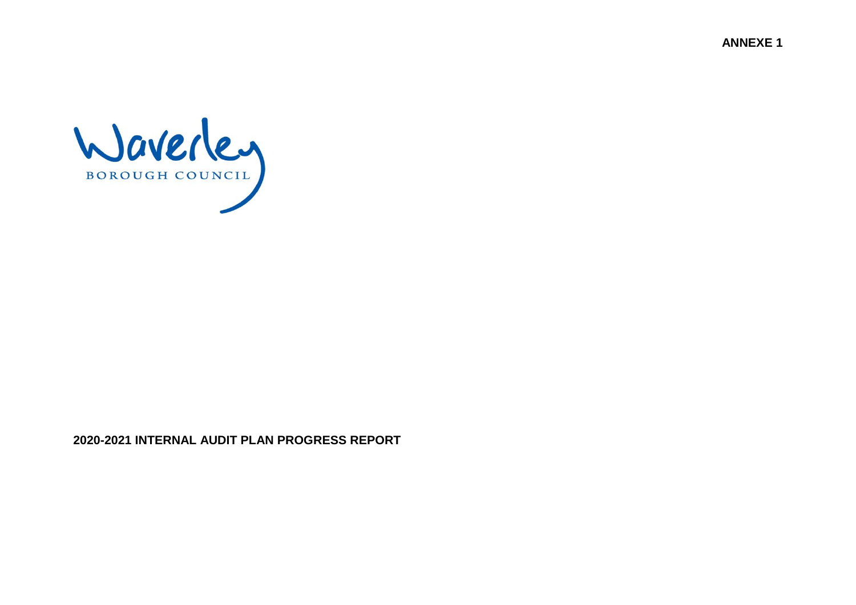**ANNEXE 1**



#### **2020-2021 INTERNAL AUDIT PLAN PROGRESS REPORT**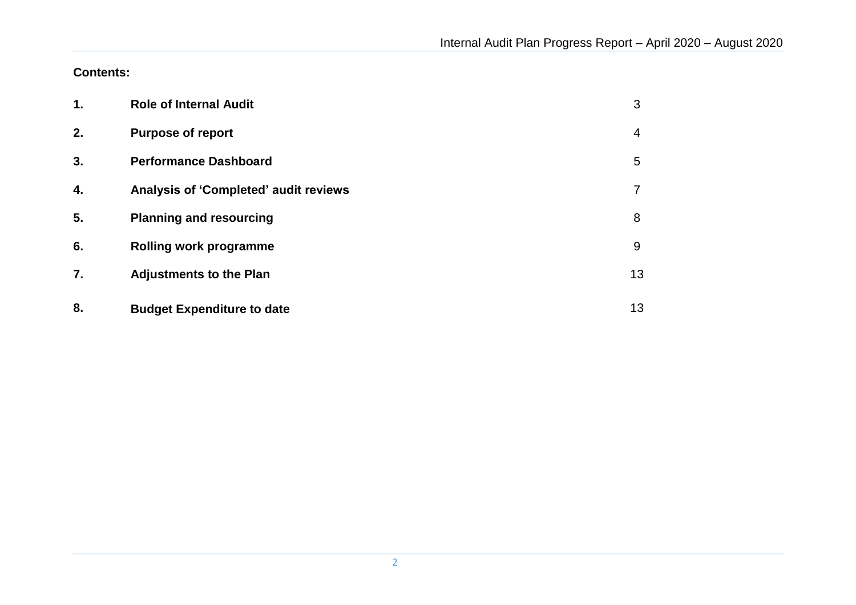**Contents:**

| $\mathbf 1$ . | <b>Role of Internal Audit</b>         | 3  |
|---------------|---------------------------------------|----|
| 2.            | <b>Purpose of report</b>              | 4  |
| 3.            | <b>Performance Dashboard</b>          | 5  |
| 4.            | Analysis of 'Completed' audit reviews | 7  |
| 5.            | <b>Planning and resourcing</b>        | 8  |
| 6.            | <b>Rolling work programme</b>         | 9  |
| 7.            | <b>Adjustments to the Plan</b>        | 13 |
| 8.            | <b>Budget Expenditure to date</b>     | 13 |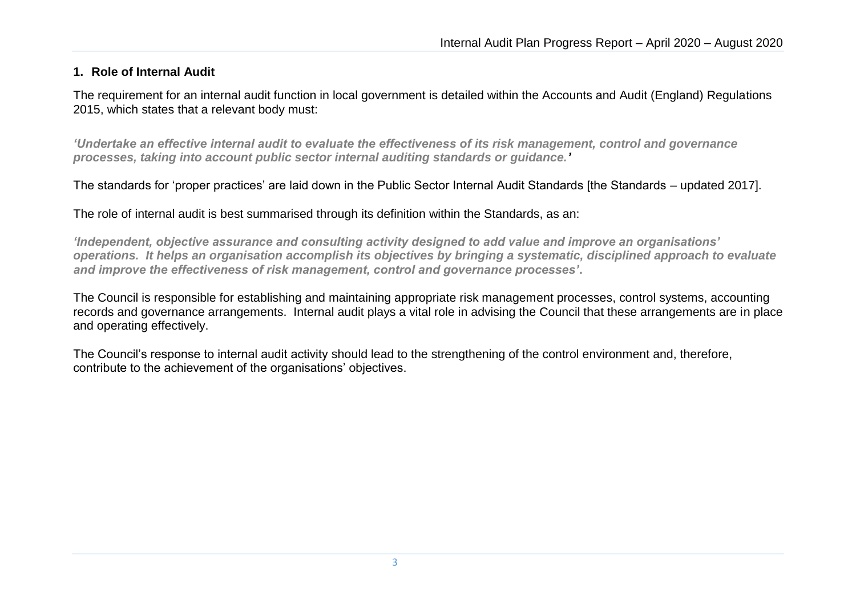### **1. Role of Internal Audit**

The requirement for an internal audit function in local government is detailed within the Accounts and Audit (England) Regulations 2015, which states that a relevant body must:

*'Undertake an effective internal audit to evaluate the effectiveness of its risk management, control and governance processes, taking into account public sector internal auditing standards or guidance.'* 

The standards for 'proper practices' are laid down in the Public Sector Internal Audit Standards [the Standards – updated 2017].

The role of internal audit is best summarised through its definition within the Standards, as an:

*'Independent, objective assurance and consulting activity designed to add value and improve an organisations' operations. It helps an organisation accomplish its objectives by bringing a systematic, disciplined approach to evaluate and improve the effectiveness of risk management, control and governance processes'***.** 

The Council is responsible for establishing and maintaining appropriate risk management processes, control systems, accounting records and governance arrangements. Internal audit plays a vital role in advising the Council that these arrangements are in place and operating effectively.

The Council's response to internal audit activity should lead to the strengthening of the control environment and, therefore, contribute to the achievement of the organisations' objectives.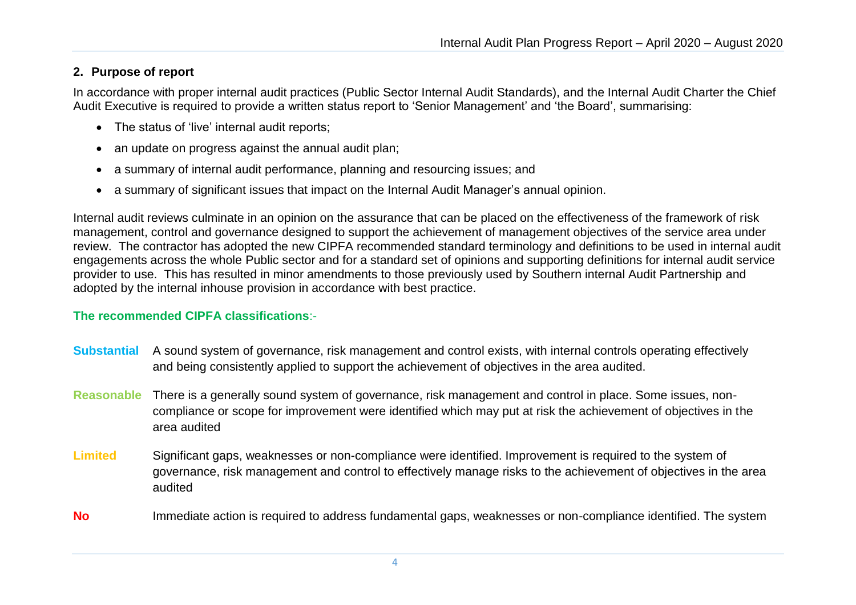### **2. Purpose of report**

In accordance with proper internal audit practices (Public Sector Internal Audit Standards), and the Internal Audit Charter the Chief Audit Executive is required to provide a written status report to 'Senior Management' and 'the Board', summarising:

- The status of 'live' internal audit reports;
- an update on progress against the annual audit plan;
- a summary of internal audit performance, planning and resourcing issues; and
- a summary of significant issues that impact on the Internal Audit Manager's annual opinion.

Internal audit reviews culminate in an opinion on the assurance that can be placed on the effectiveness of the framework of risk management, control and governance designed to support the achievement of management objectives of the service area under review. The contractor has adopted the new CIPFA recommended standard terminology and definitions to be used in internal audit engagements across the whole Public sector and for a standard set of opinions and supporting definitions for internal audit service provider to use. This has resulted in minor amendments to those previously used by Southern internal Audit Partnership and adopted by the internal inhouse provision in accordance with best practice.

#### **The recommended CIPFA classifications**:-

- **Substantial** A sound system of governance, risk management and control exists, with internal controls operating effectively and being consistently applied to support the achievement of objectives in the area audited.
- **Reasonable** There is a generally sound system of governance, risk management and control in place. Some issues, noncompliance or scope for improvement were identified which may put at risk the achievement of objectives in the area audited
- **Limited** Significant gaps, weaknesses or non-compliance were identified. Improvement is required to the system of governance, risk management and control to effectively manage risks to the achievement of objectives in the area audited
- **No** Immediate action is required to address fundamental gaps, weaknesses or non-compliance identified. The system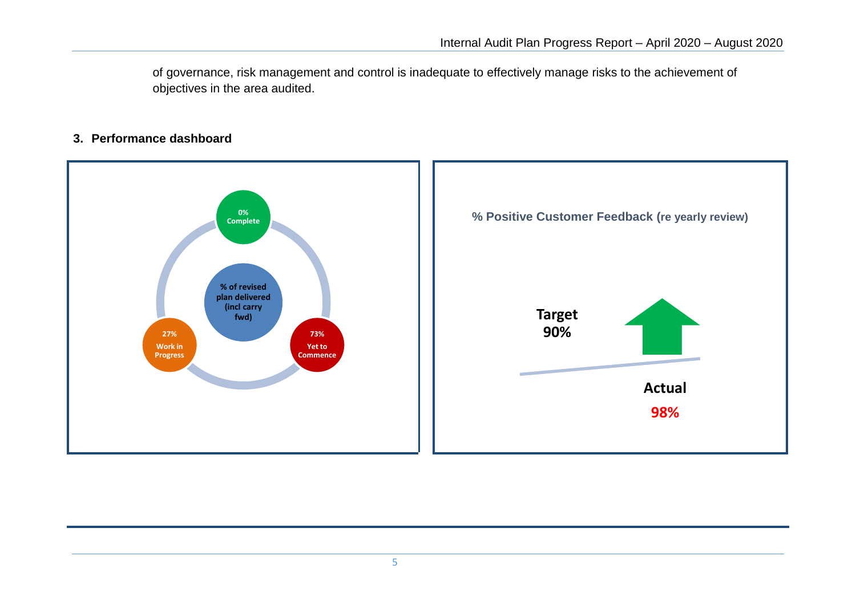of governance, risk management and control is inadequate to effectively manage risks to the achievement of objectives in the area audited.

#### **3. Performance dashboard**

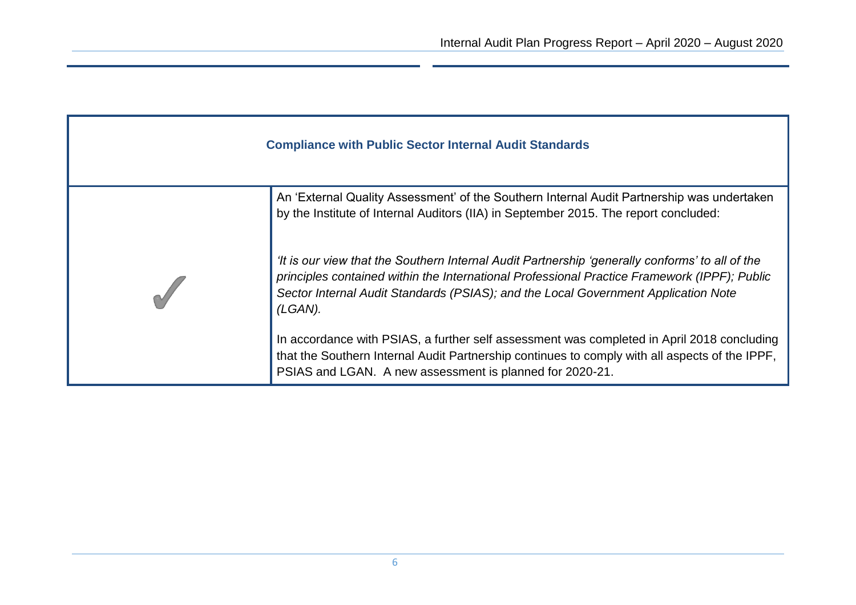| <b>Compliance with Public Sector Internal Audit Standards</b>                                                                                                                                                                                                                                    |  |  |  |  |  |  |  |  |
|--------------------------------------------------------------------------------------------------------------------------------------------------------------------------------------------------------------------------------------------------------------------------------------------------|--|--|--|--|--|--|--|--|
| An 'External Quality Assessment' of the Southern Internal Audit Partnership was undertaken<br>by the Institute of Internal Auditors (IIA) in September 2015. The report concluded:                                                                                                               |  |  |  |  |  |  |  |  |
| 'It is our view that the Southern Internal Audit Partnership 'generally conforms' to all of the<br>principles contained within the International Professional Practice Framework (IPPF); Public<br>Sector Internal Audit Standards (PSIAS); and the Local Government Application Note<br>(LGAN). |  |  |  |  |  |  |  |  |
| In accordance with PSIAS, a further self assessment was completed in April 2018 concluding<br>that the Southern Internal Audit Partnership continues to comply with all aspects of the IPPF,<br>PSIAS and LGAN. A new assessment is planned for 2020-21.                                         |  |  |  |  |  |  |  |  |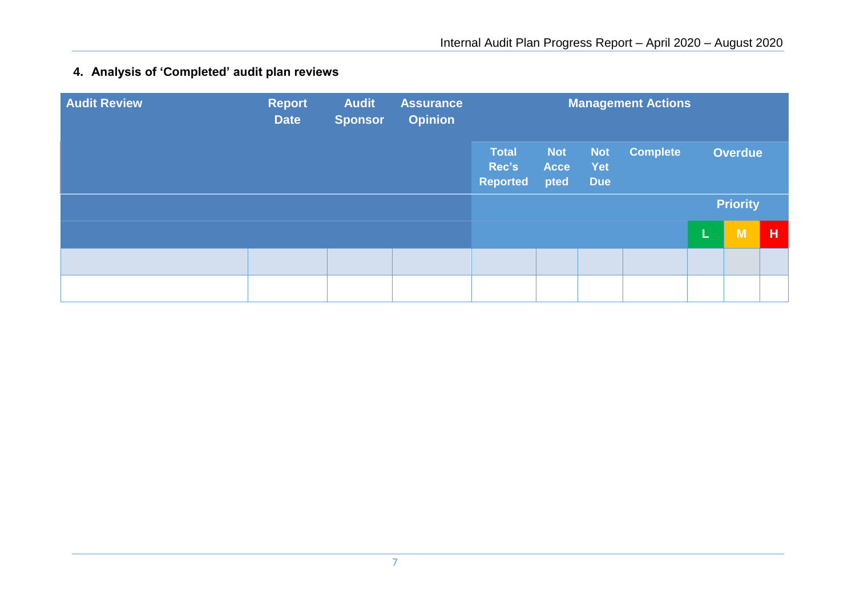# **4. Analysis of 'Completed' audit plan reviews**

| <b>Audit Review</b> | <b>Report</b><br><b>Date</b> | <b>Audit</b><br><b>Sponsor</b> | <b>Assurance</b><br><b>Opinion</b> | <b>Management Actions</b>                |                                   |                                 |                 |   |                           |   |
|---------------------|------------------------------|--------------------------------|------------------------------------|------------------------------------------|-----------------------------------|---------------------------------|-----------------|---|---------------------------|---|
|                     |                              |                                |                                    | <b>Total</b><br>Rec's<br><b>Reported</b> | <b>Not</b><br><b>Acce</b><br>pted | <b>Not</b><br>Yet<br><b>Due</b> | <b>Complete</b> |   | <b>Overdue</b>            |   |
|                     |                              |                                |                                    |                                          |                                   |                                 |                 |   | <b>Priority</b>           |   |
|                     |                              |                                |                                    |                                          |                                   |                                 |                 | L | $\mathsf{M}^{\mathsf{I}}$ | н |
|                     |                              |                                |                                    |                                          |                                   |                                 |                 |   |                           |   |
|                     |                              |                                |                                    |                                          |                                   |                                 |                 |   |                           |   |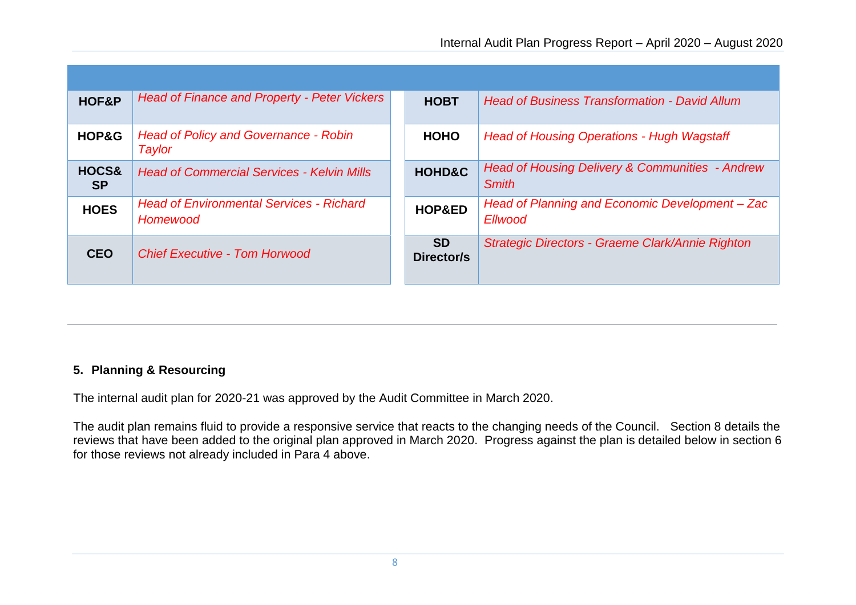| HOF&P              | <b>Head of Finance and Property - Peter Vickers</b>         | <b>HOBT</b>             | <b>Head of Business Transformation - David Allum</b>                       |
|--------------------|-------------------------------------------------------------|-------------------------|----------------------------------------------------------------------------|
| HOP&G              | <b>Head of Policy and Governance - Robin</b><br>Taylor      | <b>HOHO</b>             | <b>Head of Housing Operations - Hugh Wagstaff</b>                          |
| HOCS&<br><b>SP</b> | <b>Head of Commercial Services - Kelvin Mills</b>           | <b>HOHD&amp;C</b>       | <b>Head of Housing Delivery &amp; Communities - Andrew</b><br><b>Smith</b> |
| <b>HOES</b>        | <b>Head of Environmental Services - Richard</b><br>Homewood | <b>HOP&amp;ED</b>       | Head of Planning and Economic Development - Zac<br><b>Ellwood</b>          |
| <b>CEO</b>         | <b>Chief Executive - Tom Horwood</b>                        | <b>SD</b><br>Director/s | Strategic Directors - Graeme Clark/Annie Righton                           |

#### **5. Planning & Resourcing**

The internal audit plan for 2020-21 was approved by the Audit Committee in March 2020.

The audit plan remains fluid to provide a responsive service that reacts to the changing needs of the Council. Section 8 details the reviews that have been added to the original plan approved in March 2020. Progress against the plan is detailed below in section 6 for those reviews not already included in Para 4 above.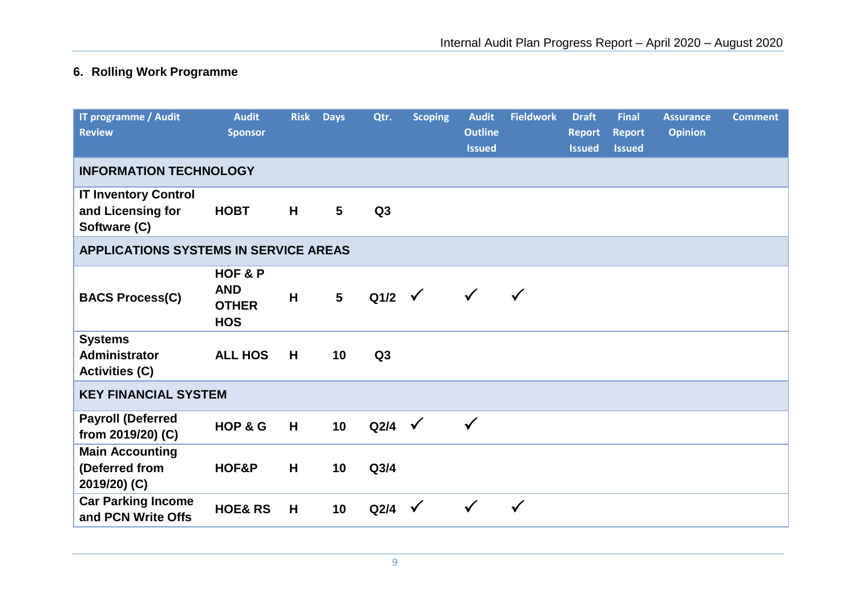# **6. Rolling Work Programme**

| IT programme / Audit                                             | <b>Audit</b>                                        | <b>Risk</b> | <b>Days</b>     | Qtr.             | <b>Scoping</b> | <b>Audit</b>   | <b>Fieldwork</b> | <b>Draft</b>  | <b>Final</b>  | <b>Assurance</b> | <b>Comment</b> |
|------------------------------------------------------------------|-----------------------------------------------------|-------------|-----------------|------------------|----------------|----------------|------------------|---------------|---------------|------------------|----------------|
| <b>Review</b>                                                    | <b>Sponsor</b>                                      |             |                 |                  |                | <b>Outline</b> |                  | <b>Report</b> | <b>Report</b> | <b>Opinion</b>   |                |
|                                                                  |                                                     |             |                 |                  |                | <b>Issued</b>  |                  | <b>Issued</b> | <b>Issued</b> |                  |                |
| <b>INFORMATION TECHNOLOGY</b>                                    |                                                     |             |                 |                  |                |                |                  |               |               |                  |                |
| <b>IT Inventory Control</b><br>and Licensing for<br>Software (C) | <b>HOBT</b>                                         | H           | $5\overline{)}$ | Q3               |                |                |                  |               |               |                  |                |
| <b>APPLICATIONS SYSTEMS IN SERVICE AREAS</b>                     |                                                     |             |                 |                  |                |                |                  |               |               |                  |                |
| <b>BACS Process(C)</b>                                           | HOF & P<br><b>AND</b><br><b>OTHER</b><br><b>HOS</b> | H           | $5\phantom{.0}$ | Q1/2 $\sqrt{ }$  |                | $\checkmark$   | $\checkmark$     |               |               |                  |                |
| <b>Systems</b><br><b>Administrator</b><br><b>Activities (C)</b>  | <b>ALL HOS</b>                                      | H           | 10              | Q3               |                |                |                  |               |               |                  |                |
| <b>KEY FINANCIAL SYSTEM</b>                                      |                                                     |             |                 |                  |                |                |                  |               |               |                  |                |
| <b>Payroll (Deferred</b><br>from 2019/20) (C)                    | HOP & G                                             | H           | 10              | Q2/4 $\sqrt{ }$  |                | $\checkmark$   |                  |               |               |                  |                |
| <b>Main Accounting</b><br>(Deferred from<br>2019/20) (C)         | HOF&P                                               | H           | 10              | Q <sub>3/4</sub> |                |                |                  |               |               |                  |                |
| <b>Car Parking Income</b><br>and PCN Write Offs                  | <b>HOE&amp; RS</b>                                  | H           | 10              | Q2/4 $\sqrt{ }$  |                | $\checkmark$   | $\checkmark$     |               |               |                  |                |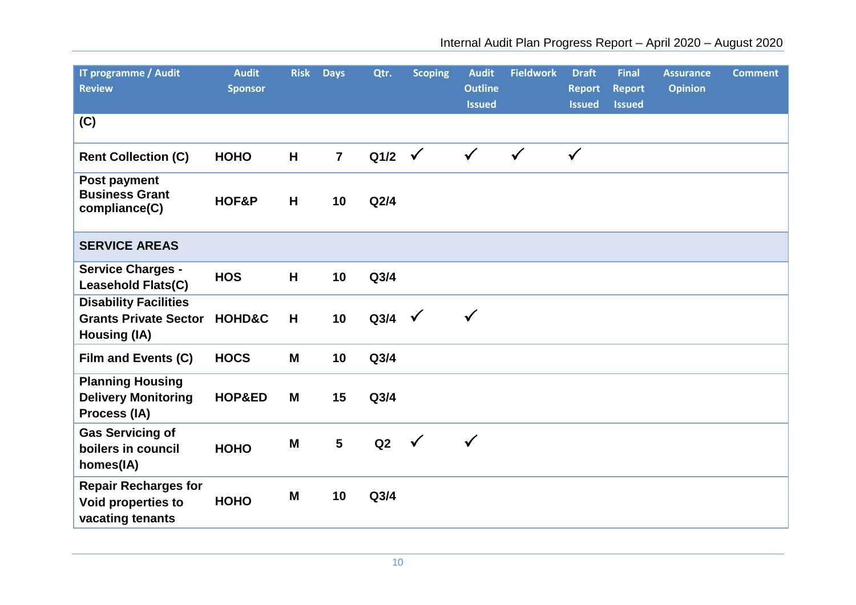| IT programme / Audit<br><b>Review</b>                                               | <b>Audit</b><br><b>Sponsor</b> | <b>Risk</b> | <b>Days</b>     | Qtr.             | <b>Scoping</b> | <b>Audit</b><br><b>Outline</b><br><b>Issued</b> | <b>Fieldwork</b> | <b>Draft</b><br><b>Report</b><br><b>Issued</b> | <b>Final</b><br><b>Report</b><br><b>Issued</b> | <b>Assurance</b><br><b>Opinion</b> | <b>Comment</b> |
|-------------------------------------------------------------------------------------|--------------------------------|-------------|-----------------|------------------|----------------|-------------------------------------------------|------------------|------------------------------------------------|------------------------------------------------|------------------------------------|----------------|
| (C)                                                                                 |                                |             |                 |                  |                |                                                 |                  |                                                |                                                |                                    |                |
| <b>Rent Collection (C)</b>                                                          | <b>HOHO</b>                    | H           | $\overline{7}$  | Q1/2 $\sqrt{ }$  |                | $\checkmark$                                    | $\checkmark$     | $\checkmark$                                   |                                                |                                    |                |
| Post payment<br><b>Business Grant</b><br>compliance(C)                              | HOF&P                          | H           | 10              | Q <sub>2/4</sub> |                |                                                 |                  |                                                |                                                |                                    |                |
| <b>SERVICE AREAS</b>                                                                |                                |             |                 |                  |                |                                                 |                  |                                                |                                                |                                    |                |
| <b>Service Charges -</b><br>Leasehold Flats(C)                                      | <b>HOS</b>                     | H           | 10              | Q <sub>3/4</sub> |                |                                                 |                  |                                                |                                                |                                    |                |
| <b>Disability Facilities</b><br><b>Grants Private Sector</b><br><b>Housing (IA)</b> | <b>HOHD&amp;C</b>              | H           | 10              | Q3/4             | $\checkmark$   | $\checkmark$                                    |                  |                                                |                                                |                                    |                |
| Film and Events (C)                                                                 | <b>HOCS</b>                    | M           | 10              | Q <sub>3/4</sub> |                |                                                 |                  |                                                |                                                |                                    |                |
| <b>Planning Housing</b><br><b>Delivery Monitoring</b><br>Process (IA)               | HOP&ED                         | M           | 15              | Q <sub>3/4</sub> |                |                                                 |                  |                                                |                                                |                                    |                |
| <b>Gas Servicing of</b><br>boilers in council<br>homes(IA)                          | <b>HOHO</b>                    | M           | $5\overline{)}$ | Q2               | $\checkmark$   | $\checkmark$                                    |                  |                                                |                                                |                                    |                |
| <b>Repair Recharges for</b><br>Void properties to<br>vacating tenants               | <b>HOHO</b>                    | M           | 10              | Q <sub>3/4</sub> |                |                                                 |                  |                                                |                                                |                                    |                |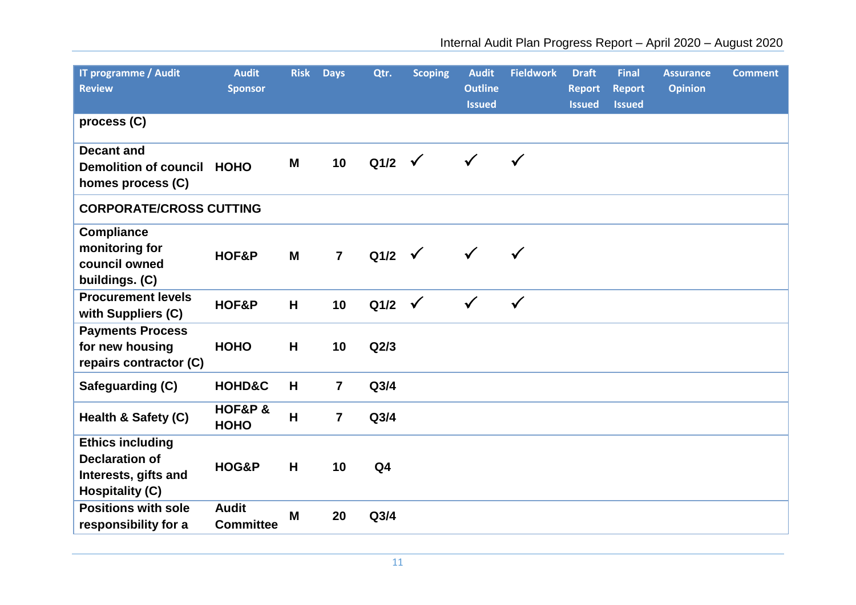| IT programme / Audit<br><b>Review</b>                                                              | <b>Audit</b><br><b>Sponsor</b>   | <b>Risk</b> | <b>Days</b>    | Qtr.             | <b>Scoping</b> | <b>Audit</b><br><b>Outline</b><br><b>Issued</b> | <b>Fieldwork</b> | <b>Draft</b><br><b>Report</b><br><b>Issued</b> | <b>Final</b><br><b>Report</b><br><b>Issued</b> | <b>Assurance</b><br><b>Opinion</b> | <b>Comment</b> |
|----------------------------------------------------------------------------------------------------|----------------------------------|-------------|----------------|------------------|----------------|-------------------------------------------------|------------------|------------------------------------------------|------------------------------------------------|------------------------------------|----------------|
| process (C)                                                                                        |                                  |             |                |                  |                |                                                 |                  |                                                |                                                |                                    |                |
| <b>Decant and</b><br><b>Demolition of council</b><br>homes process (C)                             | <b>HOHO</b>                      | M           | 10             | Q1/2             | $\sqrt{ }$     | $\checkmark$                                    | $\checkmark$     |                                                |                                                |                                    |                |
| <b>CORPORATE/CROSS CUTTING</b>                                                                     |                                  |             |                |                  |                |                                                 |                  |                                                |                                                |                                    |                |
| <b>Compliance</b><br>monitoring for<br>council owned<br>buildings. (C)                             | HOF&P                            | M           | $\overline{7}$ | Q1/2 $\sqrt{ }$  |                | $\checkmark$                                    | $\checkmark$     |                                                |                                                |                                    |                |
| <b>Procurement levels</b><br>with Suppliers (C)                                                    | HOF&P                            | H           | 10             | Q1/2             | $\checkmark$   | $\checkmark$                                    | $\checkmark$     |                                                |                                                |                                    |                |
| <b>Payments Process</b><br>for new housing<br>repairs contractor (C)                               | <b>HOHO</b>                      | H           | 10             | Q <sub>2/3</sub> |                |                                                 |                  |                                                |                                                |                                    |                |
| Safeguarding (C)                                                                                   | HOHD&C                           | H           | $\overline{7}$ | Q <sub>3/4</sub> |                |                                                 |                  |                                                |                                                |                                    |                |
| Health & Safety (C)                                                                                | HOF&P &<br><b>HOHO</b>           | H           | $\overline{7}$ | Q <sub>3/4</sub> |                |                                                 |                  |                                                |                                                |                                    |                |
| <b>Ethics including</b><br><b>Declaration of</b><br>Interests, gifts and<br><b>Hospitality (C)</b> | HOG&P                            | H           | 10             | Q <sub>4</sub>   |                |                                                 |                  |                                                |                                                |                                    |                |
| <b>Positions with sole</b><br>responsibility for a                                                 | <b>Audit</b><br><b>Committee</b> | M           | 20             | Q3/4             |                |                                                 |                  |                                                |                                                |                                    |                |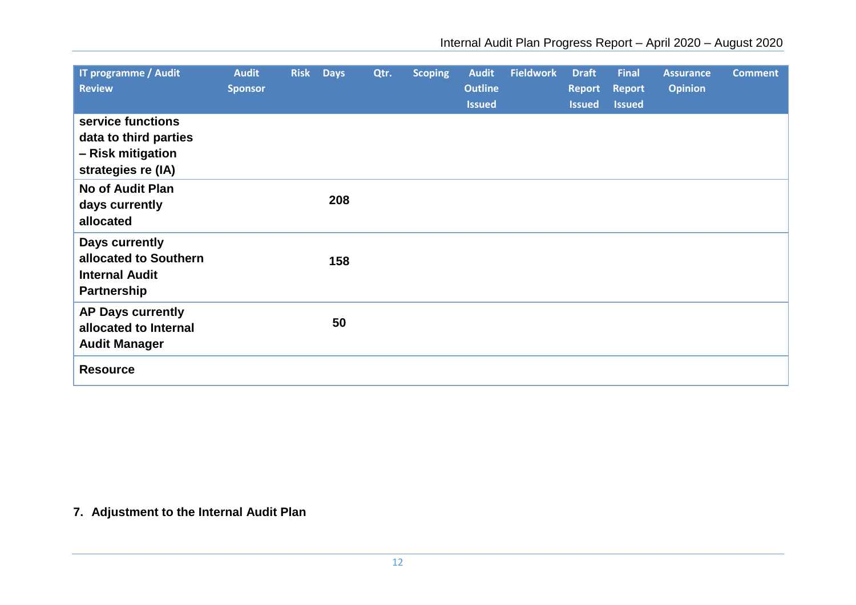| IT programme / Audit<br><b>Review</b>                                                  | <b>Audit</b><br><b>Sponsor</b> | <b>Risk</b> | <b>Days</b> | Qtr. | <b>Scoping</b> | <b>Audit</b><br><b>Outline</b><br><b>Issued</b> | <b>Fieldwork</b> | <b>Draft</b><br><b>Report</b><br><b>Issued</b> | <b>Final</b><br><b>Report</b><br><b>Issued</b> | <b>Assurance</b><br><b>Opinion</b> | <b>Comment</b> |
|----------------------------------------------------------------------------------------|--------------------------------|-------------|-------------|------|----------------|-------------------------------------------------|------------------|------------------------------------------------|------------------------------------------------|------------------------------------|----------------|
| service functions<br>data to third parties<br>- Risk mitigation<br>strategies re (IA)  |                                |             |             |      |                |                                                 |                  |                                                |                                                |                                    |                |
| <b>No of Audit Plan</b><br>days currently<br>allocated                                 |                                |             | 208         |      |                |                                                 |                  |                                                |                                                |                                    |                |
| Days currently<br>allocated to Southern<br><b>Internal Audit</b><br><b>Partnership</b> |                                |             | 158         |      |                |                                                 |                  |                                                |                                                |                                    |                |
| <b>AP Days currently</b><br>allocated to Internal<br><b>Audit Manager</b>              |                                |             | 50          |      |                |                                                 |                  |                                                |                                                |                                    |                |
| <b>Resource</b>                                                                        |                                |             |             |      |                |                                                 |                  |                                                |                                                |                                    |                |

**7. Adjustment to the Internal Audit Plan**